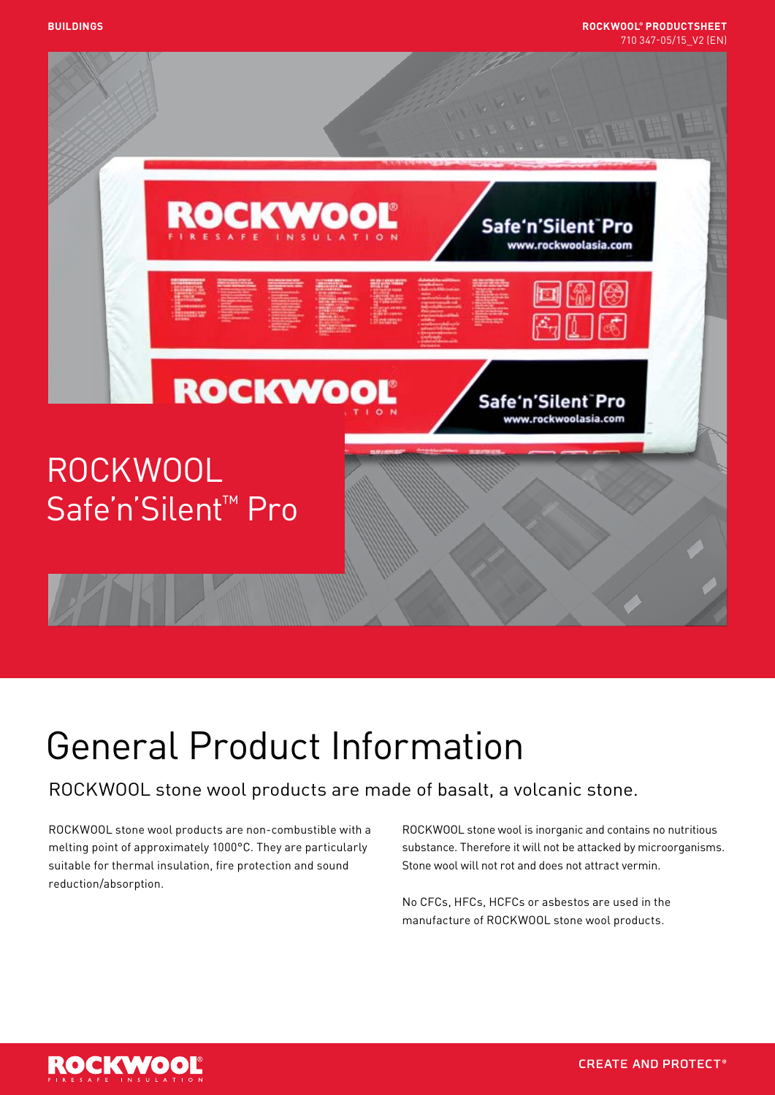

# General Product Information

## ROCKWOOL stone wool products are made of basalt, a volcanic stone.

ROCKWOOL stone wool products are non-combustible with a melting point of approximately 1000°C. They are particularly suitable for thermal insulation, fire protection and sound reduction/absorption.

ROCKWOOL stone wool is inorganic and contains no nutritious substance. Therefore it will not be attacked by microorganisms. Stone wool will not rot and does not attract vermin.

No CFCs, HFCs, HCFCs or asbestos are used in the manufacture of ROCKWOOL stone wool products.